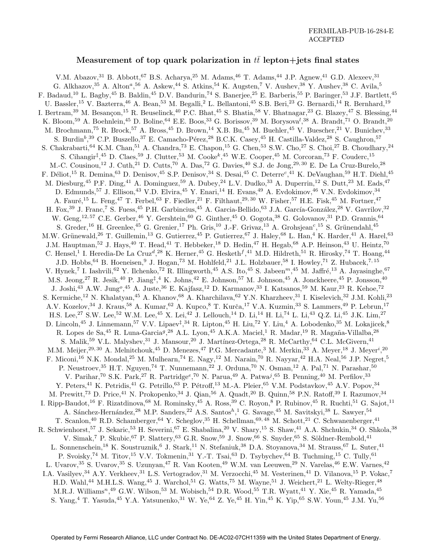# Measurement of top quark polarization in  $t\bar{t}$  lepton+jets final states

V.M. Abazov,<sup>31</sup> B. Abbott,<sup>67</sup> B.S. Acharya,<sup>25</sup> M. Adams,<sup>46</sup> T. Adams,<sup>44</sup> J.P. Agnew,<sup>41</sup> G.D. Alexeev,<sup>31</sup> G. Alkhazov, <sup>35</sup> A. Alton<sup>a</sup>, <sup>56</sup> A. Askew, <sup>44</sup> S. Atkins, <sup>54</sup> K. Augsten, <sup>7</sup> V. Aushev, <sup>38</sup> Y. Aushev, <sup>38</sup> C. Avila, <sup>5</sup> F. Badaud,<sup>10</sup> L. Bagby,<sup>45</sup> B. Baldin,<sup>45</sup> D.V. Bandurin,<sup>74</sup> S. Banerjee,<sup>25</sup> E. Barberis,<sup>55</sup> P. Baringer,<sup>53</sup> J.F. Bartlett,<sup>45</sup> U. Bassler,<sup>15</sup> V. Bazterra,<sup>46</sup> A. Bean,<sup>53</sup> M. Begalli,<sup>2</sup> L. Bellantoni,<sup>45</sup> S.B. Beri,<sup>23</sup> G. Bernardi,<sup>14</sup> R. Bernhard,<sup>19</sup> I. Bertram,<sup>39</sup> M. Besançon,<sup>15</sup> R. Beuselinck,<sup>40</sup> P.C. Bhat,<sup>45</sup> S. Bhatia,<sup>58</sup> V. Bhatnagar,<sup>23</sup> G. Blazey,<sup>47</sup> S. Blessing,<sup>44</sup> K. Bloom,<sup>59</sup> A. Boehnlein,<sup>45</sup> D. Boline,<sup>64</sup> E.E. Boos,<sup>33</sup> G. Borissov,<sup>39</sup> M. Borysova<sup>l</sup>,<sup>38</sup> A. Brandt,<sup>71</sup> O. Brandt,<sup>20</sup> M. Brochmann,<sup>75</sup> R. Brock,<sup>57</sup> A. Bross,<sup>45</sup> D. Brown,<sup>14</sup> X.B. Bu,<sup>45</sup> M. Buehler,<sup>45</sup> V. Buescher,<sup>21</sup> V. Bunichev,<sup>33</sup> S. Burdin<sup>b</sup>,<sup>39</sup> C.P. Buszello,<sup>37</sup> E. Camacho-Pérez,<sup>28</sup> B.C.K. Casey,<sup>45</sup> H. Castilla-Valdez,<sup>28</sup> S. Caughron,<sup>57</sup> S. Chakrabarti,<sup>64</sup> K.M. Chan,<sup>51</sup> A. Chandra,<sup>73</sup> E. Chapon,<sup>15</sup> G. Chen,<sup>53</sup> S.W. Cho,<sup>27</sup> S. Choi,<sup>27</sup> B. Choudhary,<sup>24</sup> S. Cihangir<sup>†</sup>,<sup>45</sup> D. Claes,<sup>59</sup> J. Clutter,<sup>53</sup> M. Cooke<sup>k</sup>,<sup>45</sup> W.E. Cooper,<sup>45</sup> M. Corcoran,<sup>73</sup> F. Couderc,<sup>15</sup> M.-C. Cousinou,<sup>12</sup> J. Cuth,<sup>21</sup> D. Cutts,<sup>70</sup> A. Das,<sup>72</sup> G. Davies,<sup>40</sup> S.J. de Jong,<sup>29, 30</sup> E. De La Cruz-Burelo,<sup>28</sup> F. Déliot,<sup>15</sup> R. Demina,<sup>63</sup> D. Denisov,<sup>45</sup> S.P. Denisov,<sup>34</sup> S. Desai,<sup>45</sup> C. Deterre<sup>c</sup>,<sup>41</sup> K. DeVaughan,<sup>59</sup> H.T. Diehl,<sup>45</sup> M. Diesburg,<sup>45</sup> P.F. Ding,<sup>41</sup> A. Dominguez,<sup>59</sup> A. Dubey,<sup>24</sup> L.V. Dudko,<sup>33</sup> A. Duperrin,<sup>12</sup> S. Dutt,<sup>23</sup> M. Eads,<sup>47</sup> D. Edmunds,<sup>57</sup> J. Ellison,<sup>43</sup> V.D. Elvira,<sup>45</sup> Y. Enari,<sup>14</sup> H. Evans,<sup>49</sup> A. Evdokimov,<sup>46</sup> V.N. Evdokimov,<sup>34</sup> A. Fauré,<sup>15</sup> L. Feng,<sup>47</sup> T. Ferbel,<sup>63</sup> F. Fiedler,<sup>21</sup> F. Filthaut,<sup>29, 30</sup> W. Fisher,<sup>57</sup> H.E. Fisk,<sup>45</sup> M. Fortner,<sup>47</sup> H. Fox,<sup>39</sup> J. Franc,<sup>7</sup> S. Fuess,<sup>45</sup> P.H. Garbincius,<sup>45</sup> A. García-Bellido,<sup>63</sup> J.A. García-González,<sup>28</sup> V. Gavrilov,<sup>32</sup> W. Geng,<sup>12, 57</sup> C.E. Gerber,<sup>46</sup> Y. Gershtein,<sup>60</sup> G. Ginther,<sup>45</sup> O. Gogota,<sup>38</sup> G. Golovanov,<sup>31</sup> P.D. Grannis,<sup>64</sup> S. Greder, <sup>16</sup> H. Greenlee, <sup>45</sup> G. Grenier, <sup>17</sup> Ph. Gris, <sup>10</sup> J.-F. Grivaz, <sup>13</sup> A. Grohsjean<sup>c</sup>, <sup>15</sup> S. Grünendahl, <sup>45</sup> M.W. Grünewald,<sup>26</sup> T. Guillemin,<sup>13</sup> G. Gutierrez,<sup>45</sup> P. Gutierrez,<sup>67</sup> J. Haley,<sup>68</sup> L. Han,<sup>4</sup> K. Harder,<sup>41</sup> A. Harel,<sup>63</sup> J.M. Hauptman,<sup>52</sup> J. Hays,<sup>40</sup> T. Head,<sup>41</sup> T. Hebbeker,<sup>18</sup> D. Hedin,<sup>47</sup> H. Hegab,<sup>68</sup> A.P. Heinson,<sup>43</sup> U. Heintz,<sup>70</sup> C. Hensel,<sup>1</sup> I. Heredia-De La Cruz<sup>d</sup>,<sup>28</sup> K. Herner,<sup>45</sup> G. Hesketh<sup>f</sup>,<sup>41</sup> M.D. Hildreth,<sup>51</sup> R. Hirosky,<sup>74</sup> T. Hoang,<sup>44</sup> J.D. Hobbs,<sup>64</sup> B. Hoeneisen,<sup>9</sup> J. Hogan,<sup>73</sup> M. Hohlfeld,<sup>21</sup> J.L. Holzbauer,<sup>58</sup> I. Howley,<sup>71</sup> Z. Hubacek,<sup>7,15</sup> V. Hynek,<sup>7</sup> I. Iashvili,<sup>62</sup> Y. Ilchenko,<sup>72</sup> R. Illingworth,<sup>45</sup> A.S. Ito,<sup>45</sup> S. Jabeen<sup>m</sup>,<sup>45</sup> M. Jaffré,<sup>13</sup> A. Jayasinghe,<sup>67</sup> M.S. Jeong,<sup>27</sup> R. Jesik,<sup>40</sup> P. Jiang<sup>‡</sup>,<sup>4</sup> K. Johns,<sup>42</sup> E. Johnson,<sup>57</sup> M. Johnson,<sup>45</sup> A. Jonckheere,<sup>45</sup> P. Jonsson,<sup>40</sup> J. Joshi,<sup>43</sup> A.W. Jung<sup>o</sup>,<sup>45</sup> A. Juste,<sup>36</sup> E. Kajfasz,<sup>12</sup> D. Karmanov,<sup>33</sup> I. Katsanos,<sup>59</sup> M. Kaur,<sup>23</sup> R. Kehoe,<sup>72</sup> S. Kermiche,<sup>12</sup> N. Khalatyan,<sup>45</sup> A. Khanov,<sup>68</sup> A. Kharchilava,<sup>62</sup> Y.N. Kharzheev,<sup>31</sup> I. Kiselevich,<sup>32</sup> J.M. Kohli,<sup>23</sup> A.V. Kozelov,<sup>34</sup> J. Kraus,<sup>58</sup> A. Kumar,<sup>62</sup> A. Kupco,<sup>8</sup> T. Kurča,<sup>17</sup> V.A. Kuzmin,<sup>33</sup> S. Lammers,<sup>49</sup> P. Lebrun,<sup>17</sup> H.S. Lee,<sup>27</sup> S.W. Lee,<sup>52</sup> W.M. Lee,<sup>45</sup> X. Lei,<sup>42</sup> J. Lellouch,<sup>14</sup> D. Li,<sup>14</sup> H. Li,<sup>74</sup> L. Li,<sup>43</sup> Q.Z. Li,<sup>45</sup> J.K. Lim,<sup>27</sup> D. Lincoln,<sup>45</sup> J. Linnemann,<sup>57</sup> V.V. Lipaev<sup>‡</sup>,<sup>34</sup> R. Lipton,<sup>45</sup> H. Liu,<sup>72</sup> Y. Liu,<sup>4</sup> A. Lobodenko,<sup>35</sup> M. Lokajicek,<sup>8</sup> R. Lopes de Sa,<sup>45</sup> R. Luna-Garcia<sup>9</sup>,<sup>28</sup> A.L. Lyon,<sup>45</sup> A.K.A. Maciel,<sup>1</sup> R. Madar,<sup>19</sup> R. Magaña-Villalba,<sup>28</sup> S. Malik,<sup>59</sup> V.L. Malyshev,<sup>31</sup> J. Mansour,<sup>20</sup> J. Martínez-Ortega,<sup>28</sup> R. McCarthy,<sup>64</sup> C.L. McGivern,<sup>41</sup> M.M. Meijer,<sup>29, 30</sup> A. Melnitchouk,<sup>45</sup> D. Menezes,<sup>47</sup> P.G. Mercadante,<sup>3</sup> M. Merkin,<sup>33</sup> A. Meyer,<sup>18</sup> J. Meyer<sup>i</sup>,<sup>20</sup> F. Miconi,<sup>16</sup> N.K. Mondal,<sup>25</sup> M. Mulhearn,<sup>74</sup> E. Nagy,<sup>12</sup> M. Narain,<sup>70</sup> R. Nayyar,<sup>42</sup> H.A. Neal,<sup>56</sup> J.P. Negret,<sup>5</sup> P. Neustroev,<sup>35</sup> H.T. Nguyen,<sup>74</sup> T. Nunnemann,<sup>22</sup> J. Orduna,<sup>70</sup> N. Osman,<sup>12</sup> A. Pal,<sup>71</sup> N. Parashar,<sup>50</sup> V. Parihar,<sup>70</sup> S.K. Park,<sup>27</sup> R. Partridge<sup>e</sup>,<sup>70</sup> N. Parua,<sup>49</sup> A. Patwa<sup>j</sup>,<sup>65</sup> B. Penning,<sup>40</sup> M. Perfilov,<sup>33</sup> Y. Peters,<sup>41</sup> K. Petridis,<sup>41</sup> G. Petrillo,<sup>63</sup> P. Pétroff,<sup>13</sup> M.-A. Pleier,<sup>65</sup> V.M. Podstavkov,<sup>45</sup> A.V. Popov,<sup>34</sup> M. Prewitt,<sup>73</sup> D. Price,<sup>41</sup> N. Prokopenko,<sup>34</sup> J. Qian,<sup>56</sup> A. Quadt,<sup>20</sup> B. Quinn,<sup>58</sup> P.N. Ratoff,<sup>39</sup> I. Razumov,<sup>34</sup> I. Ripp-Baudot,<sup>16</sup> F. Rizatdinova,<sup>68</sup> M. Rominsky,<sup>45</sup> A. Ross,<sup>39</sup> C. Royon,<sup>8</sup> P. Rubinov,<sup>45</sup> R. Ruchti,<sup>51</sup> G. Sajot,<sup>11</sup> A. Sánchez-Hernández, <sup>28</sup> M.P. Sanders, <sup>22</sup> A.S. Santos<sup>h</sup>, <sup>1</sup> G. Savage, <sup>45</sup> M. Savitskyi, <sup>38</sup> L. Sawyer, <sup>54</sup> T. Scanlon,<sup>40</sup> R.D. Schamberger,<sup>64</sup> Y. Scheglov,<sup>35</sup> H. Schellman,<sup>69, 48</sup> M. Schott,<sup>21</sup> C. Schwanenberger,<sup>41</sup> R. Schwienhorst,<sup>57</sup> J. Sekaric,<sup>53</sup> H. Severini,<sup>67</sup> E. Shabalina,<sup>20</sup> V. Shary,<sup>15</sup> S. Shaw,<sup>41</sup> A.A. Shchukin,<sup>34</sup> O. Shkola,<sup>38</sup> V. Simak,<sup>7</sup> P. Skubic,<sup>67</sup> P. Slattery,<sup>63</sup> G.R. Snow,<sup>59</sup> J. Snow,<sup>66</sup> S. Snyder,<sup>65</sup> S. Söldner-Rembold,<sup>41</sup> L. Sonnenschein,<sup>18</sup> K. Soustruznik,<sup>6</sup> J. Stark,<sup>11</sup> N. Stefaniuk,<sup>38</sup> D.A. Stoyanova,<sup>34</sup> M. Strauss,<sup>67</sup> L. Suter,<sup>41</sup> P. Svoisky,<sup>74</sup> M. Titov,<sup>15</sup> V.V. Tokmenin,<sup>31</sup> Y.-T. Tsai,<sup>63</sup> D. Tsybychev,<sup>64</sup> B. Tuchming,<sup>15</sup> C. Tully,<sup>61</sup> L. Uvarov,<sup>35</sup> S. Uvarov,<sup>35</sup> S. Uzunyan,<sup>47</sup> R. Van Kooten,<sup>49</sup> W.M. van Leeuwen,<sup>29</sup> N. Varelas,<sup>46</sup> E.W. Varnes,<sup>42</sup> I.A. Vasilyev,<sup>34</sup> A.Y. Verkheev,<sup>31</sup> L.S. Vertogradov,<sup>31</sup> M. Verzocchi,<sup>45</sup> M. Vesterinen,<sup>41</sup> D. Vilanova,<sup>15</sup> P. Vokac,<sup>7</sup> H.D. Wahl,<sup>44</sup> M.H.L.S. Wang,<sup>45</sup> J. Warchol,<sup>51</sup> G. Watts,<sup>75</sup> M. Wayne,<sup>51</sup> J. Weichert,<sup>21</sup> L. Welty-Rieger,<sup>48</sup> M.R.J. Williams<sup>n</sup>,<sup>49</sup> G.W. Wilson,<sup>53</sup> M. Wobisch,<sup>54</sup> D.R. Wood,<sup>55</sup> T.R. Wyatt,<sup>41</sup> Y. Xie,<sup>45</sup> R. Yamada,<sup>45</sup> S. Yang,<sup>4</sup> T. Yasuda,<sup>45</sup> Y.A. Yatsunenko,<sup>31</sup> W. Ye,<sup>64</sup> Z. Ye,<sup>45</sup> H. Yin,<sup>45</sup> K. Yip,<sup>65</sup> S.W. Youn,<sup>45</sup> J.M. Yu,<sup>56</sup>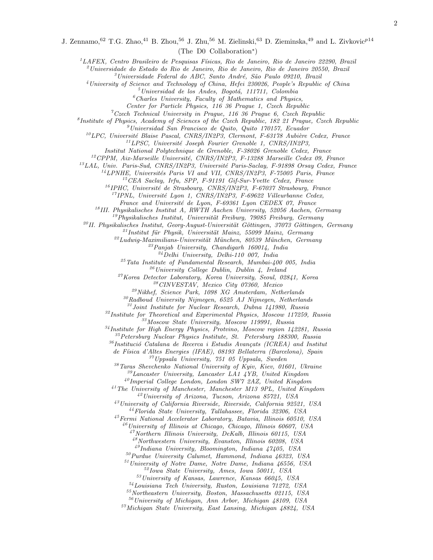J. Zennamo,<sup>62</sup> T.G. Zhao,<sup>41</sup> B. Zhou,<sup>56</sup> J. Zhu,<sup>56</sup> M. Zielinski,<sup>63</sup> D. Zieminska,<sup>49</sup> and L. Zivkovic<sup>p14</sup>

(The D0 Collaboration<sup>∗</sup> )

 ${}^{1}LAFEX$ , Centro Brasileiro de Pesquisas Físicas, Rio de Janeiro, Rio de Janeiro 22290, Brazil

 $^{2}$ Universidade do Estado do Rio de Janeiro, Rio de Janeiro, Rio de Janeiro 20550, Brazil

 $3$ Universidade Federal do ABC, Santo André, São Paulo 09210, Brazil

<sup>4</sup>University of Science and Technology of China, Hefei 230026, People's Republic of China

 $5$ Universidad de los Andes, Bogotá, 111711, Colombia

 $^6$ Charles University, Faculty of Mathematics and Physics,

Center for Particle Physics, 116 36 Prague 1, Czech Republic

 ${}^{7}C$ zech Technical University in Prague, 116 36 Prague 6, Czech Republic

8 Institute of Physics, Academy of Sciences of the Czech Republic, 182 21 Prague, Czech Republic

 $<sup>9</sup> Universidad San Francisco de Quito, Quito 170157, Ecuador$ </sup>

 $^{10}$ LPC, Université Blaise Pascal, CNRS/IN2P3, Clermont, F-63178 Aubière Cedex, France

 $^{11}LPSC$ , Université Joseph Fourier Grenoble 1, CNRS/IN2P3,

Institut National Polytechnique de Grenoble, F-38026 Grenoble Cedex, France

 $12$  CPPM, Aix-Marseille Université, CNRS/IN2P3, F-13288 Marseille Cedex 09, France

 $^{13}LAL$ , Univ. Paris-Sud, CNRS/IN2P3, Université Paris-Saclay, F-91898 Orsay Cedex, France

 $^{14}$ LPNHE, Universités Paris VI and VII, CNRS/IN2P3, F-75005 Paris, France

 $15$ CEA Saclay, Irfu, SPP, F-91191 Gif-Sur-Yvette Cedex, France

 $^{16}$ IPHC, Université de Strasbourg, CNRS/IN2P3, F-67037 Strasbourg, France

 $17$ IPNL, Université Lyon 1, CNRS/IN2P3, F-69622 Villeurbanne Cedex,

France and Université de Lyon, F-69361 Lyon CEDEX 07, France

 $^{18}$ III. Physikalisches Institut A, RWTH Aachen University, 52056 Aachen, Germany

 $19$ Physikalisches Institut, Universität Freiburg,  $79085$  Freiburg, Germany

 $\rm ^{20}II.$  Physikalisches Institut, Georg-August-Universität Göttingen, 37073 Göttingen, Germany

 $^{21}$ Institut für Physik, Universität Mainz, 55099 Mainz, Germany

 $22Ludwig-Maximilians-Universität München, 80539 München, Germany$ 

 $^{23}Panjab$  University, Chandigarh 160014, India

 $^{24}$ Delhi University, Delhi-110 007, India

 $^{25}$ Tata Institute of Fundamental Research, Mumbai-400 005, India  $^{26}$ University College Dublin, Dublin 4, Ireland

 $27$ Korea Detector Laboratory, Korea University, Seoul, 02841, Korea

<sup>28</sup>CINVESTAV, Mexico City 07360, Mexico

<sup>29</sup>Nikhef, Science Park, 1098 XG Amsterdam, Netherlands

 $30$ Radboud University Nijmegen, 6525 AJ Nijmegen, Netherlands

 $31$  Joint Institute for Nuclear Research, Dubna 141980, Russia

 $32$ Institute for Theoretical and Experimental Physics, Moscow 117259, Russia

<sup>33</sup>Moscow State University, Moscow 119991, Russia

 $34$ Institute for High Energy Physics, Protvino, Moscow region 142281, Russia

<sup>35</sup>Petersburg Nuclear Physics Institute, St. Petersburg 188300, Russia

 $36$ Institució Catalana de Recerca i Estudis Avançats (ICREA) and Institut de Física d'Altes Energies (IFAE), 08193 Bellaterra (Barcelona), Spain  $37 Uppsala$  University, 751 05 Uppsala, Sweden

 $38$ Taras Shevchenko National University of Kyiv, Kiev, 01601, Ukraine

 $39$ Lancaster University, Lancaster LA1 4YB, United Kingdom

 $^{40}$ Imperial College London, London SW7 2AZ, United Kingdom

<sup>41</sup>The University of Manchester, Manchester M13 9PL, United Kingdom

<sup>42</sup>University of Arizona, Tucson, Arizona 85721, USA

<sup>43</sup>University of California Riverside, Riverside, California 92521, USA <sup>44</sup>Florida State University, Tallahassee, Florida 32306, USA

<sup>45</sup>Fermi National Accelerator Laboratory, Batavia, Illinois 60510, USA

<sup>46</sup>University of Illinois at Chicago, Chicago, Illinois 60607, USA

<sup>47</sup>Northern Illinois University, DeKalb, Illinois 60115, USA

<sup>48</sup>Northwestern University, Evanston, Illinois 60208, USA

 $^{49}$ Indiana University, Bloomington, Indiana  $47405$ , USA

 $50$ Purdue University Calumet, Hammond, Indiana 46323, USA

 $51$ University of Notre Dame, Notre Dame, Indiana 46556, USA

<sup>52</sup>Iowa State University, Ames, Iowa 50011, USA

 $53$ University of Kansas, Lawrence, Kansas 66045, USA

<sup>54</sup>Louisiana Tech University, Ruston, Louisiana 71272, USA

<sup>55</sup>Northeastern University, Boston, Massachusetts 02115, USA

<sup>56</sup>University of Michigan, Ann Arbor, Michigan 48109, USA

<sup>57</sup>Michigan State University, East Lansing, Michigan 48824, USA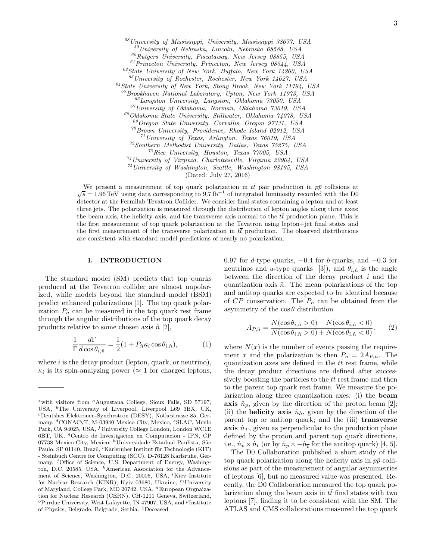<sup>58</sup>University of Mississippi, University, Mississippi 38677, USA <sup>59</sup>University of Nebraska, Lincoln, Nebraska 68588, USA  $^{60}Rutgers$  University, Piscataway, New Jersey 08855, USA  $^{61}$ Princeton University, Princeton, New Jersey 08544, USA  $62$ State University of New York, Buffalo, New York 14260, USA <sup>63</sup>University of Rochester, Rochester, New York 14627, USA  $^{64}$ State University of New York, Stony Brook, New York 11794, USA  $^{65}$ Brookhaven National Laboratory, Upton, New York 11973, USA <sup>66</sup>Langston University, Langston, Oklahoma 73050, USA  $^{67}$ University of Oklahoma, Norman, Oklahoma 73019, USA  $^{68}O$ klahoma State University, Stillwater, Oklahoma 74078, USA <sup>69</sup>Oregon State University, Corvallis, Oregon 97331, USA  $^{70}$ Brown University, Providence, Rhode Island 02912, USA  $171$ University of Texas, Arlington, Texas 76019, USA <sup>72</sup>Southern Methodist University, Dallas, Texas 75275, USA <sup>73</sup>Rice University, Houston, Texas 77005, USA  $^{74}$ University of Virginia, Charlottesville, Virginia 22904, USA  $^{75}$ University of Washington, Seattle, Washington 98195, USA

(Dated: July 27, 2016)

We present a measurement of top quark polarization in  $t\bar{t}$  pair production in  $p\bar{p}$  collisions at  $\sqrt{s} = 1.96 \text{ TeV}$  using data corresponding to 9.7 fb<sup>-1</sup> of integrated luminosity recorded with the D0 detector at the Fermilab Tevatron Collider. We consider final states containing a lepton and at least three jets. The polarization is measured through the distribution of lepton angles along three axes: the beam axis, the helicity axis, and the transverse axis normal to the  $t\bar{t}$  production plane. This is the first measurement of top quark polarization at the Tevatron using lepton+jet final states and the first measurement of the transverse polarization in  $t\bar{t}$  production. The observed distributions are consistent with standard model predictions of nearly no polarization.

#### I. INTRODUCTION

The standard model (SM) predicts that top quarks produced at the Tevatron collider are almost unpolarized, while models beyond the standard model (BSM) predict enhanced polarizations [1]. The top quark polarization  $P_{\hat{n}}$  can be measured in the top quark rest frame through the angular distributions of the top quark decay products relative to some chosen axis  $\hat{n}$  [2],

$$
\frac{1}{\Gamma} \frac{d\Gamma}{d\cos\theta_{i,\hat{n}}} = \frac{1}{2} (1 + P_{\hat{n}} \kappa_i \cos\theta_{i,\hat{n}}),\tag{1}
$$

where  $i$  is the decay product (lepton, quark, or neutrino),  $\kappa_i$  is its spin-analyzing power ( $\approx 1$  for charged leptons, 0.97 for d-type quarks,  $-0.4$  for b-quarks, and  $-0.3$  for neutrinos and u-type quarks [3]), and  $\theta_{i,\hat{n}}$  is the angle between the direction of the decay product  $i$  and the quantization axis  $\hat{n}$ . The mean polarizations of the top and antitop quarks are expected to be identical because of CP conservation. The  $P_{\hat{n}}$  can be obtained from the asymmetry of the  $\cos \theta$  distribution

$$
A_{P,\hat{n}} = \frac{N(\cos \theta_{i,\hat{n}} > 0) - N(\cos \theta_{i,\hat{n}} < 0)}{N(\cos \theta_{i,\hat{n}} > 0) + N(\cos \theta_{i,\hat{n}} < 0)},
$$
(2)

where  $N(x)$  is the number of events passing the requirement x and the polarization is then  $P_{\hat{n}} = 2A_{P,\hat{n}}$ . The quantization axes are defined in the  $t\bar{t}$  rest frame, while the decay product directions are defined after successively boosting the particles to the  $t\bar{t}$  rest frame and then to the parent top quark rest frame. We measure the polarization along three quantization axes: (i) the beam axis  $\hat{n}_p$ , given by the direction of the proton beam [2]; (ii) the **helicity axis**  $\hat{n}_h$ , given by the direction of the parent top or antitop quark; and the (iii) transverse axis  $\hat{n}_T$ , given as perpendicular to the production plane defined by the proton and parent top quark directions, i.e.,  $\hat{n}_p \times \hat{n}_t$  (or by  $\hat{n}_p \times -\hat{n}_{\overline{t}}$  for the antitop quark) [4, 5].

The D0 Collaboration published a short study of the top quark polarization along the helicity axis in  $p\bar{p}$  collisions as part of the measurement of angular asymmetries of leptons [6], but no measured value was presented. Recently, the D0 Collaboration measured the top quark polarization along the beam axis in  $t\bar{t}$  final states with two leptons [7], finding it to be consistent with the SM. The ATLAS and CMS collaborations measured the top quark

<sup>∗</sup>with visitors from <sup>a</sup>Augustana College, Sioux Falls, SD 57197, USA, <sup>b</sup>The University of Liverpool, Liverpool L69 3BX, UK, <sup>c</sup>Deutshes Elektronen-Synchrotron (DESY), Notkestrasse 85, Germany, <sup>d</sup>CONACyT, M-03940 Mexico City, Mexico, <sup>e</sup>SLAC, Menlo Park, CA 94025, USA, <sup>f</sup>University College London, London WC1E 6BT, UK, <sup>g</sup>Centro de Investigacion en Computacion - IPN, CP 07738 Mexico City, Mexico, <sup>h</sup>Universidade Estadual Paulista, São Paulo, SP 01140, Brazil, <sup>*K*</sup>arlsruher Institut für Technologie (KIT) - Steinbuch Centre for Computing (SCC), D-76128 Karlsruhe, Germany, <sup>j</sup>Office of Science, U.S. Department of Energy, Washington, D.C. 20585, USA, <sup>k</sup>American Association for the Advancement of Science, Washington, D.C. 20005, USA, <sup> $l$ </sup>Kiev Institute for Nuclear Research (KINR), Kyiv 03680, Ukraine, <sup>m</sup>University of Maryland, College Park, MD 20742, USA, <sup>n</sup>European Orgnaization for Nuclear Research (CERN), CH-1211 Geneva, Switzerland, <sup>o</sup>Purdue University, West Lafayette, IN 47907, USA, and <sup>p</sup>Institute of Physics, Belgrade, Belgrade, Serbia. ‡Deceased.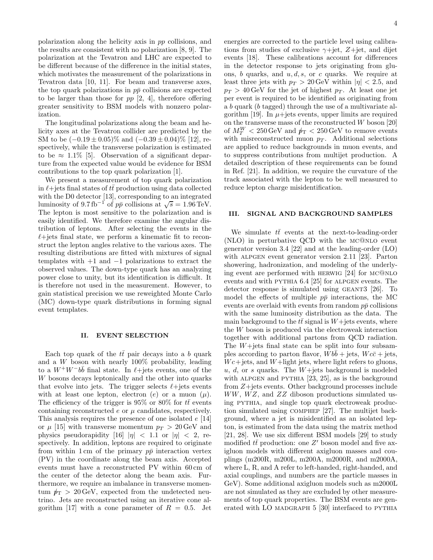polarization along the helicity axis in pp collisions, and the results are consistent with no polarization [8, 9]. The polarization at the Tevatron and LHC are expected to be different because of the difference in the initial states, which motivates the measurement of the polarizations in Tevatron data [10, 11]. For beam and transverse axes, the top quark polarizations in  $p\bar{p}$  collisions are expected to be larger than those for  $pp$  [2, 4], therefore offering greater sensitivity to BSM models with nonzero polarization.

The longitudinal polarizations along the beam and helicity axes at the Tevatron collider are predicted by the SM to be  $(-0.19 \pm 0.05)\%$  and  $(-0.39 \pm 0.04)\%$  [12], respectively, while the transverse polarization is estimated to be  $\approx 1.1\%$  [5]. Observation of a significant departure from the expected value would be evidence for BSM contributions to the top quark polarization [1].

We present a measurement of top quark polarization in  $\ell$ +jets final states of  $t\bar{t}$  production using data collected with the D0 detector [13], corresponding to an integrated luminosity of 9.7 fb<sup>-1</sup> of  $p\bar{p}$  collisions at  $\sqrt{s} = 1.96$  TeV. The lepton is most sensitive to the polarization and is easily identified. We therefore examine the angular distribution of leptons. After selecting the events in the  $\ell$ +jets final state, we perform a kinematic fit to reconstruct the lepton angles relative to the various axes. The resulting distributions are fitted with mixtures of signal templates with +1 and −1 polarizations to extract the observed values. The down-type quark has an analyzing power close to unity, but its identification is difficult. It is therefore not used in the measurement. However, to gain statistical precision we use reweighted Monte Carlo (MC) down-type quark distributions in forming signal event templates.

### II. EVENT SELECTION

Each top quark of the  $t\bar{t}$  pair decays into a b quark and a  $W$  boson with nearly 100% probability, leading to a  $W^+W^-b\bar{b}$  final state. In  $\ell$ +jets events, one of the W bosons decays leptonically and the other into quarks that evolve into jets. The trigger selects  $\ell +$ jets events with at least one lepton, electron  $(e)$  or a muon  $(\mu)$ . The efficiency of the trigger is 95% or 80% for  $t\bar{t}$  events containing reconstructed  $e$  or  $\mu$  candidates, respectively. This analysis requires the presence of one isolated  $e$  [14] or  $\mu$  [15] with transverse momentum  $p_T > 20 \,\text{GeV}$  and physics pseudorapidity [16]  $|\eta| < 1.1$  or  $|\eta| < 2$ , respectively. In addition, leptons are required to originate from within 1 cm of the primary  $p\bar{p}$  interaction vertex (PV) in the coordinate along the beam axis. Accepted events must have a reconstructed PV within 60 cm of the center of the detector along the beam axis. Furthermore, we require an imbalance in transverse momentum  $p_T > 20 \,\text{GeV}$ , expected from the undetected neutrino. Jets are reconstructed using an iterative cone algorithm [17] with a cone parameter of  $R = 0.5$ . Jet energies are corrected to the particle level using calibrations from studies of exclusive  $\gamma$ +jet, Z+jet, and dijet events [18]. These calibrations account for differences in the detector response to jets originating from gluons, b quarks, and  $u, d, s$ , or c quarks. We require at least three jets with  $p_T > 20 \,\text{GeV}$  within  $|\eta| < 2.5$ , and  $p_T > 40$  GeV for the jet of highest  $p_T$ . At least one jet per event is required to be identified as originating from a b quark (b tagged) through the use of a multivariate algorithm [19]. In  $\mu$ +jets events, upper limits are required on the transverse mass of the reconstructed  $W$  boson [20] of  $M_T^W < 250 \,\mathrm{GeV}$  and  $p_T < 250 \,\mathrm{GeV}$  to remove events with misreconstructed muon  $p_T$ . Additional selections are applied to reduce backgrounds in muon events, and to suppress contributions from multijet production. A detailed description of these requirements can be found in Ref. [21]. In addition, we require the curvature of the track associated with the lepton to be well measured to reduce lepton charge misidentification.

### III. SIGNAL AND BACKGROUND SAMPLES

We simulate  $t\bar{t}$  events at the next-to-leading-order (NLO) in perturbative QCD with the mc@nlo event generator version 3.4 [22] and at the leading-order (LO) with ALPGEN event generator version 2.11 [23]. Parton showering, hadronization, and modeling of the underlying event are performed with herwig [24] for mc@nlo events and with pythia 6.4 [25] for alpgen events. The detector response is simulated using GEANT3 [26]. To model the effects of multiple  $p\bar{p}$  interactions, the MC events are overlaid with events from random  $p\bar{p}$  collisions with the same luminosity distribution as the data. The main background to the  $t\bar{t}$  signal is  $W+$ jets events, where the W boson is produced via the electroweak interaction together with additional partons from QCD radiation. The  $W +$ jets final state can be split into four subsamples according to parton flavor,  $W b \overline{b}$  + jets,  $W c \overline{c}$  + jets,  $Wc + \text{jets}$ , and  $W + \text{light jets}$ , where light refers to gluons,  $u, d,$  or s quarks. The  $W+$ jets background is modeled with ALPGEN and PYTHIA  $[23, 25]$ , as is the background from Z+jets events. Other background processes include  $WW, WZ,$  and  $ZZ$  diboson productions simulated using pythia, and single top quark electroweak production simulated using comphep [27]. The multijet background, where a jet is misidentified as an isolated lepton, is estimated from the data using the matrix method [21, 28]. We use six different BSM models [29] to study modified  $t\bar{t}$  production: one Z' boson model and five axigluon models with different axigluon masses and couplings (m200R, m200L, m200A, m2000R, and m2000A, where L, R, and A refer to left-handed, right-handed, and axial couplings, and numbers are the particle masses in GeV). Some additional axigluon models such as m2000L are not simulated as they are excluded by other measurements of top quark properties. The BSM events are generated with LO MADGRAPH 5 [30] interfaced to PYTHIA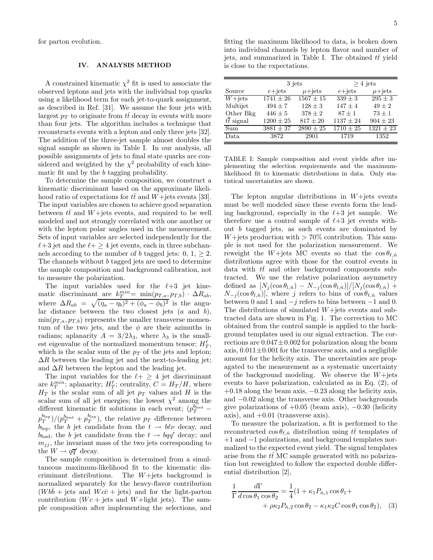for parton evolution.

# IV. ANALYSIS METHOD

A constrained kinematic  $\chi^2$  fit is used to associate the observed leptons and jets with the individual top quarks using a likelihood term for each jet-to-quark assignment, as described in Ref. [31]. We assume the four jets with largest  $p_T$  to originate from  $t\bar{t}$  decay in events with more than four jets. The algorithm includes a technique that reconstructs events with a lepton and only three jets [32]. The addition of the three-jet sample almost doubles the signal sample as shown in Table I. In our analysis, all possible assignments of jets to final state quarks are considered and weighted by the  $\chi^2$  probability of each kinematic fit and by the b tagging probability.

To determine the sample composition, we construct a kinematic discriminant based on the approximate likelihood ratio of expectations for  $t\bar{t}$  and  $W+$ jets events [33]. The input variables are chosen to achieve good separation between  $t\bar{t}$  and  $W+$ jets events, and required to be well modeled and not strongly correlated with one another or with the lepton polar angles used in the measurement. Sets of input variables are selected independently for the  $\ell+3$  jet and the  $\ell+\geq 4$  jet events, each in three subchannels according to the number of b tagged jets:  $0, 1, \ge 2$ . The channels without b tagged jets are used to determine the sample composition and background calibration, not to measure the polarization.

The input variables used for the  $\ell+3$  jet kinematic discriminant are  $k_T^{min} = \min(p_{T,a}, p_{T,b}) \cdot \Delta R_{ab}$ , where  $\Delta R_{ab} = \sqrt{(\eta_a - \eta_b)^2 + (\phi_a - \phi_b)^2}$  is the angular distance between the two closest jets  $(a \text{ and } b)$ ,  $min(p_{T,a}, p_{T,b})$  represents the smaller transverse momentum of the two jets, and the  $\phi$  are their azimuths in radians; aplanarity  $A = 3/2\lambda_3$ , where  $\lambda_3$  is the smallest eigenvalue of the normalized momentum tensor;  $H_T^{\ell}$ , which is the scalar sum of the  $p_T$  of the jets and lepton;  $\Delta R$  between the leading jet and the next-to-leading jet; and  $\Delta R$  between the lepton and the leading jet.

The input variables for the  $\ell + \geq 4$  jet discriminant are  $k_T^{min}$ ; aplanarity;  $H_T^{\ell}$ ; centrality,  $C = H_T/H$ , where  $H_T$  is the scalar sum of all jet  $p_T$  values and H is the scalar sum of all jet energies; the lowest  $\chi^2$  among the different kinematic fit solutions in each event;  $(p_T^{b_{\text{had}}}$  $p_T^{b_{\text{lep}}}/(p_T^{b_{\text{had}}}+p_T^{b_{\text{lep}}})$ , the relative  $p_T$  difference between  $b_{\rm lep}$ , the b jet candidate from the  $t \to b\ell\nu$  decay, and  $b_{\text{had}}$ , the b jet candidate from the  $t \rightarrow bqq'$  decay; and  $m_{jj}$ , the invariant mass of the two jets corresponding to the  $W \to q\overline{q}'$  decay.

The sample composition is determined from a simultaneous maximum-likelihood fit to the kinematic discriminant distributions. The W+jets background is normalized separately for the heavy-flavor contribution  $(Wbb + \text{jets} \text{ and } Wc\bar{c} + \text{jets})$  and for the light-parton contribution  $(Wc + iets$  and  $W + light$  jets). The sample composition after implementing the selections, and

fitting the maximum likelihood to data, is broken down into individual channels by lepton flavor and number of jets, and summarized in Table I. The obtained  $t\bar{t}$  yield is close to the expectations.

|                   | 3 jets         |                     | $>4$ jets      |                     |
|-------------------|----------------|---------------------|----------------|---------------------|
| Source            | $e+{\rm jets}$ | $\mu + \text{jets}$ | $e+{\rm jets}$ | $\mu + \text{jets}$ |
| $W+{\text{jets}}$ | $1741 \pm 26$  | $1567 \pm 15$       | $339 + 3$      | $295 \pm 3$         |
| Multijet          | $494 + 7$      | $128 + 3$           | $147 + 4$      | $49 + 2$            |
| Other Bkg         | $446 \pm 5$    | $378 \pm 2$         | $87 + 1$       | $73 \pm 1$          |
| $t\bar{t}$ signal | $1200 \pm 25$  | $817 \pm 20$        | $1137 \pm 24$  | $904 \pm 23$        |
| Sum               | $3881 \pm 37$  | $2890 \pm 25$       | $1710 \pm 25$  | $1321 \pm 23$       |
| Data.             | 3872           | 2901                | 1719           | 1352                |

TABLE I: Sample composition and event yields after implementing the selection requirements and the maximumlikelihood fit to kinematic distributions in data. Only statistical uncertainties are shown.

The lepton angular distributions in  $W +$ jets events must be well modeled since these events form the leading background, especially in the  $\ell+3$  jet sample. We therefore use a control sample of  $\ell+3$  jet events without b tagged jets, as such events are dominated by  $W+$ jets production with  $> 70\%$  contribution. This sample is not used for the polarization measurement. We reweight the W+jets MC events so that the  $\cos \theta_{\ell \hat{n}}$ distributions agree with those for the control events in data with  $t\bar{t}$  and other background components subtracted. We use the relative polarization asymmetry defined as  $[N_j(\cos\theta_{l,\hat{n}}) - N_{-j}(\cos\theta_{l,\hat{n}})]/[N_j(\cos\theta_{l,\hat{n}}) +$  $N_{-j}(\cos\theta_{l,\hat{n}})$ , where j refers to bins of  $\cos\theta_{l,\hat{n}}$  values between 0 and 1 and  $-j$  refers to bins between  $-1$  and 0. The distributions of simulated  $W+$ jets events and subtracted data are shown in Fig. 1. The correction to MC obtained from the control sample is applied to the background templates used in our signal extraction. The corrections are  $0.047 \pm 0.002$  for polarization along the beam axis,  $0.011 \pm 0.001$  for the transverse axis, and a negligible amount for the helicity axis. The uncertainties are propagated to the measurement as a systematic uncertainty of the background modeling. We observe the  $W+$ jets events to have polarization, calculated as in Eq. (2), of  $+0.18$  along the beam axis,  $-0.23$  along the helicity axis, and −0.02 along the transverse axis. Other backgrounds give polarizations of  $+0.05$  (beam axis),  $-0.30$  (helicity axis), and  $+0.01$  (transverse axis).

To measure the polarization, a fit is performed to the reconstructed  $\cos \theta_{\ell,n}$  distribution using  $t\bar{t}$  templates of +1 and −1 polarizations, and background templates normalized to the expected event yield. The signal templates arise from the  $t\bar{t}$  MC sample generated with no polarization but reweighted to follow the expected double differential distribution [2],

$$
\frac{1}{\Gamma} \frac{d\Gamma}{d\cos\theta_1\cos\theta_2} = \frac{1}{4} (1 + \kappa_1 P_{\hat{n},1} \cos\theta_1 + \n+ \rho \kappa_2 P_{\hat{n},2} \cos\theta_2 - \kappa_1 \kappa_2 C \cos\theta_1 \cos\theta_2),
$$
 (3)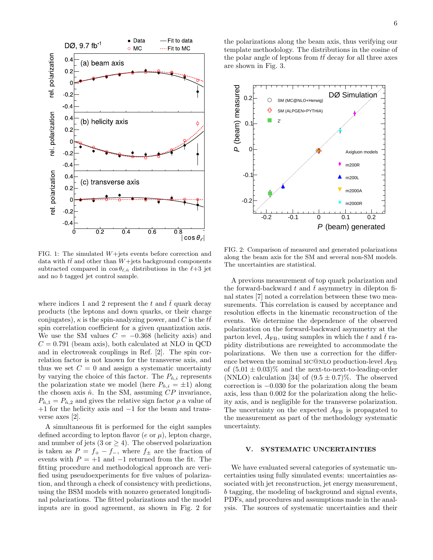

FIG. 1: The simulated  $W+$  jets events before correction and data with  $t\bar{t}$  and other than  $W+$ jets background components subtracted compared in  $\cos \theta_{\ell,n}$  distributions in the  $\ell+3$  jet and no b tagged jet control sample.

where indices 1 and 2 represent the t and  $\bar{t}$  quark decay products (the leptons and down quarks, or their charge conjugates),  $\kappa$  is the spin-analyzing power, and C is the  $t\bar{t}$ spin correlation coefficient for a given quantization axis. We use the SM values  $C = -0.368$  (helicity axis) and  $C = 0.791$  (beam axis), both calculated at NLO in QCD and in electroweak couplings in Ref. [2]. The spin correlation factor is not known for the transverse axis, and thus we set  $C = 0$  and assign a systematic uncertainty by varying the choice of this factor. The  $P_{\hat{n},i}$  represents the polarization state we model (here  $P_{\hat{n},i} = \pm 1$ ) along the chosen axis  $\hat{n}$ . In the SM, assuming  $CP$  invariance,  $P_{n,1} = P_{n,2}$  and gives the relative sign factor  $\rho$  a value of  $+1$  for the helicity axis and  $-1$  for the beam and transverse axes [2].

A simultaneous fit is performed for the eight samples defined according to lepton flavor (e or  $\mu$ ), lepton charge, and number of jets  $(3 \text{ or } \geq 4)$ . The observed polarization is taken as  $P = f_{+} - f_{-}$ , where  $f_{\pm}$  are the fraction of events with  $P = +1$  and  $-1$  returned from the fit. The fitting procedure and methodological approach are verified using pseudoexperiments for five values of polarization, and through a check of consistency with predictions, using the BSM models with nonzero generated longitudinal polarizations. The fitted polarizations and the model inputs are in good agreement, as shown in Fig. 2 for

the polarizations along the beam axis, thus verifying our template methodology. The distributions in the cosine of the polar angle of leptons from  $t\bar{t}$  decay for all three axes are shown in Fig. 3.



FIG. 2: Comparison of measured and generated polarizations along the beam axis for the SM and several non-SM models. The uncertainties are statistical.

A previous measurement of top quark polarization and the forward-backward t and  $\bar{t}$  asymmetry in dilepton final states [7] noted a correlation between these two measurements. This correlation is caused by acceptance and resolution effects in the kinematic reconstruction of the events. We determine the dependence of the observed polarization on the forward-backward asymmetry at the parton level,  $A_{\text{FB}}$ , using samples in which the t and  $\bar{t}$  rapidity distributions are reweighted to accommodate the polarizations. We then use a correction for the difference between the nominal MC@NLO production-level  $A_{FB}$ of  $(5.01 \pm 0.03)\%$  and the next-to-next-to-leading-order (NNLO) calculation [34] of  $(9.5 \pm 0.7)\%$ . The observed correction is −0.030 for the polarization along the beam axis, less than 0.002 for the polarization along the helicity axis, and is negligible for the transverse polarization. The uncertainty on the expected  $A_{FB}$  is propagated to the measurement as part of the methodology systematic uncertainty.

#### V. SYSTEMATIC UNCERTAINTIES

We have evaluated several categories of systematic uncertainties using fully simulated events: uncertainties associated with jet reconstruction, jet energy measurement, b tagging, the modeling of background and signal events, PDFs, and procedures and assumptions made in the analysis. The sources of systematic uncertainties and their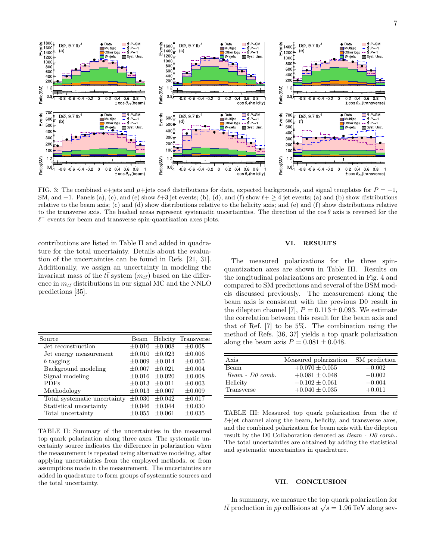

FIG. 3: The combined e+jets and  $\mu$ +jets cos  $\theta$  distributions for data, expected backgrounds, and signal templates for  $P = -1$ , SM, and  $+1$ . Panels (a), (c), and (e) show  $\ell+3$  jet events; (b), (d), and (f) show  $\ell+\geq 4$  jet events; (a) and (b) show distributions relative to the beam axis; (c) and (d) show distributions relative to the helicity axis; and (e) and (f) show distributions relative to the transverse axis. The hashed areas represent systematic uncertainties. The direction of the  $\cos \theta$  axis is reversed for the  $\ell^-$  events for beam and transverse spin-quantization axes plots.

contributions are listed in Table II and added in quadrature for the total uncertainty. Details about the evaluation of the uncertainties can be found in Refs. [21, 31]. Additionally, we assign an uncertainty in modeling the invariant mass of the  $t\bar{t}$  system  $(m_{t\bar{t}})$  based on the difference in  $m_{t\bar{t}}$  distributions in our signal MC and the NNLO predictions [35].

| Source                       | Beam        | Helicity    | Transverse  |
|------------------------------|-------------|-------------|-------------|
| Jet reconstruction           | $+0.010$    | $+0.008$    | $\pm 0.008$ |
| Jet energy measurement       | $\pm 0.010$ | $\pm 0.023$ | $\pm 0.006$ |
| b tagging                    | $\pm 0.009$ | $\pm 0.014$ | $\pm 0.005$ |
| Background modeling          | $\pm 0.007$ | $\pm 0.021$ | $\pm 0.004$ |
| Signal modeling              | $\pm 0.016$ | $\pm 0.020$ | $\pm 0.008$ |
| <b>PDFs</b>                  | $\pm 0.013$ | $+0.011$    | $\pm 0.003$ |
| Methodology                  | $+0.013$    | $+0.007$    | $\pm 0.009$ |
| Total systematic uncertainty | $\pm 0.030$ | $\pm 0.042$ | $\pm 0.017$ |
| Statistical uncertainty      | $\pm 0.046$ | $\pm 0.044$ | $\pm 0.030$ |
| Total uncertainty            | $+0.055$    | $\pm 0.061$ | $\pm 0.035$ |

TABLE II: Summary of the uncertainties in the measured top quark polarization along three axes. The systematic uncertainty source indicates the difference in polarization when the measurement is repeated using alternative modeling, after applying uncertainties from the employed methods, or from assumptions made in the measurement. The uncertainties are added in quadrature to form groups of systematic sources and the total uncertainty.

## VI. RESULTS

The measured polarizations for the three spinquantization axes are shown in Table III. Results on the longitudinal polarizations are presented in Fig. 4 and compared to SM predictions and several of the BSM models discussed previously. The measurement along the beam axis is consistent with the previous D0 result in the dilepton channel [7],  $P = 0.113 \pm 0.093$ . We estimate the correlation between this result for the beam axis and that of Ref. [7] to be 5%. The combination using the method of Refs. [36, 37] yields a top quark polarization along the beam axis  $P = 0.081 \pm 0.048$ .

| Axis              | Measured polarization | SM prediction |
|-------------------|-----------------------|---------------|
| Beam              | $+0.070 \pm 0.055$    | $-0.002$      |
| $Beam - DO comb.$ | $+0.081 \pm 0.048$    | $-0.002$      |
| Helicity          | $-0.102 \pm 0.061$    | $-0.004$      |
| Transverse        | $+0.040 \pm 0.035$    | $+0.011$      |

TABLE III: Measured top quark polarization from the  $t\bar{t}$  $\ell$ +jet channel along the beam, helicity, and transverse axes, and the combined polarization for beam axis with the dilepton result by the D0 Collaboration denoted as Beam - D0 comb.. The total uncertainties are obtained by adding the statistical and systematic uncertainties in quadrature.

## VII. CONCLUSION

In summary, we measure the top quark polarization for tto anti-term of the set of  $\frac{1}{s}$  and  $\frac{1}{s}$  and  $\frac{1}{s}$  and  $\frac{1}{s}$  and  $\frac{1}{s}$  are  $\frac{1}{s}$  and  $\frac{1}{s}$  and  $\frac{1}{s}$  and  $\frac{1}{s}$  and  $\frac{1}{s}$  and  $\frac{1}{s}$  and  $\frac{1}{s}$  and  $\frac{1}{s}$  and  $\frac{1}{s}$  a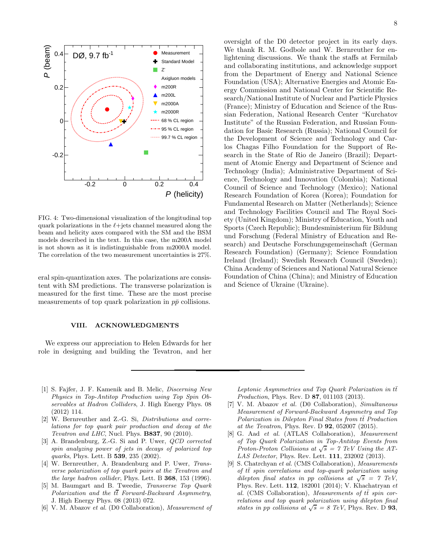

FIG. 4: Two-dimensional visualization of the longitudinal top quark polarizations in the  $\ell$ +jets channel measured along the beam and helicity axes compared with the SM and the BSM models described in the text. In this case, the m200A model is not shown as it is indistinguishable from m2000A model. The correlation of the two measurement uncertainties is 27%.

eral spin-quantization axes. The polarizations are consistent with SM predictions. The transverse polarization is measured for the first time. These are the most precise measurements of top quark polarization in  $p\bar{p}$  collisions.

# VIII. ACKNOWLEDGMENTS

We express our appreciation to Helen Edwards for her role in designing and building the Tevatron, and her

- [1] S. Fajfer, J. F. Kamenik and B. Melic, Discerning New Physics in Top-Antitop Production using Top Spin Observables at Hadron Colliders, J. High Energy Phys. 08 (2012) 114.
- [2] W. Bernreuther and Z.-G. Si, Distributions and correlations for top quark pair production and decay at the Tevatron and LHC, Nucl. Phys. B837, 90 (2010).
- [3] A. Brandenburg, Z.-G. Si and P. Uwer, *QCD corrected* spin analyzing power of jets in decays of polarized top quarks, Phys. Lett. B 539, 235 (2002).
- [4] W. Bernreuther, A. Brandenburg and P. Uwer, Transverse polarization of top quark pairs at the Tevatron and the large hadron collider, Phys. Lett. B 368, 153 (1996).
- [5] M. Baumgart and B. Tweedie, Transverse Top Quark Polarization and the  $t\bar{t}$  Forward-Backward Asymmetry, J. High Energy Phys. 08 (2013) 072.
- [6] V. M. Abazov et al. (D0 Collaboration), Measurement of

oversight of the D0 detector project in its early days. We thank R. M. Godbole and W. Bernreuther for enlightening discussions. We thank the staffs at Fermilab and collaborating institutions, and acknowledge support from the Department of Energy and National Science Foundation (USA); Alternative Energies and Atomic Energy Commission and National Center for Scientific Research/National Institute of Nuclear and Particle Physics (France); Ministry of Education and Science of the Russian Federation, National Research Center "Kurchatov Institute" of the Russian Federation, and Russian Foundation for Basic Research (Russia); National Council for the Development of Science and Technology and Carlos Chagas Filho Foundation for the Support of Research in the State of Rio de Janeiro (Brazil); Department of Atomic Energy and Department of Science and Technology (India); Administrative Department of Science, Technology and Innovation (Colombia); National Council of Science and Technology (Mexico); National Research Foundation of Korea (Korea); Foundation for Fundamental Research on Matter (Netherlands); Science and Technology Facilities Council and The Royal Society (United Kingdom); Ministry of Education, Youth and Sports (Czech Republic); Bundesministerium für Bildung und Forschung (Federal Ministry of Education and Research) and Deutsche Forschungsgemeinschaft (German Research Foundation) (Germany); Science Foundation Ireland (Ireland); Swedish Research Council (Sweden); China Academy of Sciences and National Natural Science Foundation of China (China); and Ministry of Education and Science of Ukraine (Ukraine).

Leptonic Asymmetries and Top Quark Polarization in  $t\bar{t}$ Production, Phys. Rev. D 87, 011103 (2013).

- [7] V. M. Abazov et al. (D0 Collaboration), Simultaneous Measurement of Forward-Backward Asymmetry and Top Polarization in Dilepton Final States from  $t\bar{t}$  Production at the Tevatron, Phys. Rev. D 92, 052007 (2015).
- [8] G. Aad et al. (ATLAS Collaboration), Measurement of Top Quark Polarization in Top-Antitop Events from Proton-Proton Collisions at  $\sqrt{s}$  = 7 TeV Using the AT-LAS Detector, Phys. Rev. Lett. 111, 232002 (2013).
- [9] S. Chatrchyan et al. (CMS Collaboration), Measurements of  $t\bar{t}$  spin correlations and top-quark polarization using dilepton final states in pp collisions at  $\sqrt{s}$  = 7 TeV, Phys. Rev. Lett. 112, 182001 (2014); V. Khachatryan et al. (CMS Collaboration), Measurements of  $t\bar{t}$  spin correlations and top quark polarization using dilepton final states in pp collisions at  $\sqrt{s} = 8$  TeV, Phys. Rev. D 93,